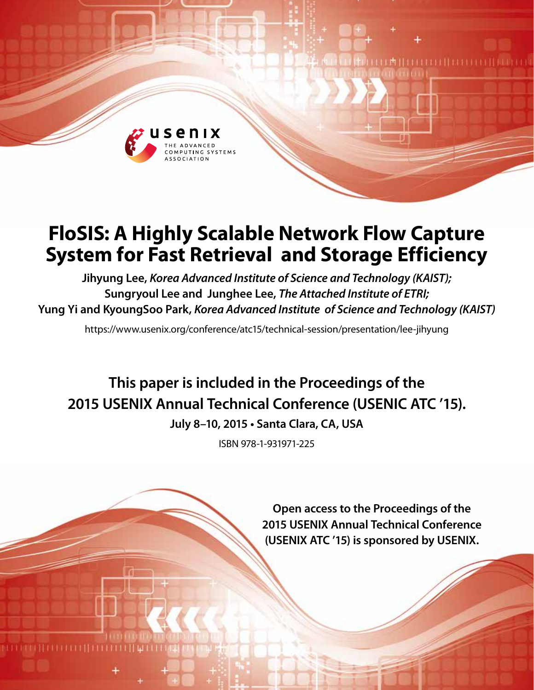

# **FloSIS: A Highly Scalable Network Flow Capture System for Fast Retrieval and Storage Efficiency**

**Jihyung Lee,** *Korea Advanced Institute of Science and Technology (KAIST);*  **Sungryoul Lee and Junghee Lee,** *The Attached Institute of ETRI;*  **Yung Yi and KyoungSoo Park,** *Korea Advanced Institute of Science and Technology (KAIST)*

https://www.usenix.org/conference/atc15/technical-session/presentation/lee-jihyung

**This paper is included in the Proceedings of the 2015 USENIX Annual Technical Conference (USENIC ATC '15).**

**July 8–10, 2015 • Santa Clara, CA, USA**

ISBN 978-1-931971-225

**Open access to the Proceedings of the 2015 USENIX Annual Technical Conference (USENIX ATC '15) is sponsored by USENIX.**

**TELEFITEREN** 

工内目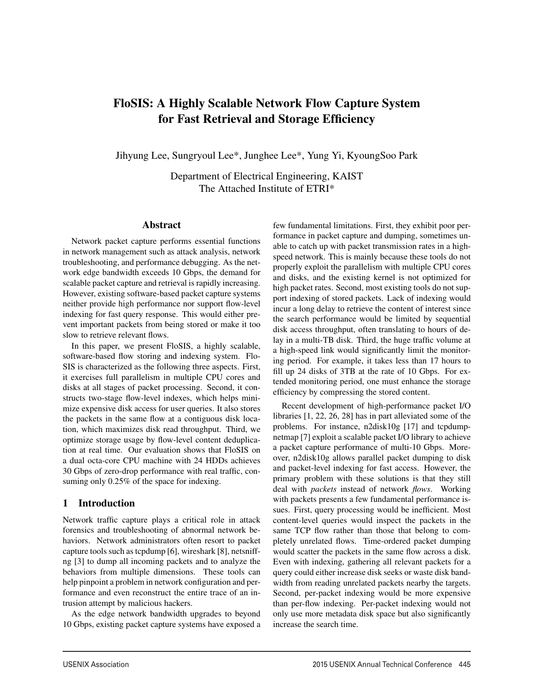## FloSIS: A Highly Scalable Network Flow Capture System for Fast Retrieval and Storage Efficiency

Jihyung Lee, Sungryoul Lee\*, Junghee Lee\*, Yung Yi, KyoungSoo Park

Department of Electrical Engineering, KAIST The Attached Institute of ETRI\*

#### Abstract

Network packet capture performs essential functions in network management such as attack analysis, network troubleshooting, and performance debugging. As the network edge bandwidth exceeds 10 Gbps, the demand for scalable packet capture and retrieval is rapidly increasing. However, existing software-based packet capture systems neither provide high performance nor support flow-level indexing for fast query response. This would either prevent important packets from being stored or make it too slow to retrieve relevant flows.

In this paper, we present FloSIS, a highly scalable, software-based flow storing and indexing system. Flo-SIS is characterized as the following three aspects. First, it exercises full parallelism in multiple CPU cores and disks at all stages of packet processing. Second, it constructs two-stage flow-level indexes, which helps minimize expensive disk access for user queries. It also stores the packets in the same flow at a contiguous disk location, which maximizes disk read throughput. Third, we optimize storage usage by flow-level content deduplication at real time. Our evaluation shows that FloSIS on a dual octa-core CPU machine with 24 HDDs achieves 30 Gbps of zero-drop performance with real traffic, consuming only 0.25% of the space for indexing.

#### 1 Introduction

Network traffic capture plays a critical role in attack forensics and troubleshooting of abnormal network behaviors. Network administrators often resort to packet capture tools such as tcpdump [6], wireshark [8], netsniffng [3] to dump all incoming packets and to analyze the behaviors from multiple dimensions. These tools can help pinpoint a problem in network configuration and performance and even reconstruct the entire trace of an intrusion attempt by malicious hackers.

As the edge network bandwidth upgrades to beyond 10 Gbps, existing packet capture systems have exposed a few fundamental limitations. First, they exhibit poor performance in packet capture and dumping, sometimes unable to catch up with packet transmission rates in a highspeed network. This is mainly because these tools do not properly exploit the parallelism with multiple CPU cores and disks, and the existing kernel is not optimized for high packet rates. Second, most existing tools do not support indexing of stored packets. Lack of indexing would incur a long delay to retrieve the content of interest since the search performance would be limited by sequential disk access throughput, often translating to hours of delay in a multi-TB disk. Third, the huge traffic volume at a high-speed link would significantly limit the monitoring period. For example, it takes less than 17 hours to fill up 24 disks of 3TB at the rate of 10 Gbps. For extended monitoring period, one must enhance the storage efficiency by compressing the stored content.

Recent development of high-performance packet I/O libraries [1, 22, 26, 28] has in part alleviated some of the problems. For instance, n2disk10g [17] and tcpdumpnetmap [7] exploit a scalable packet I/O library to achieve a packet capture performance of multi-10 Gbps. Moreover, n2disk10g allows parallel packet dumping to disk and packet-level indexing for fast access. However, the primary problem with these solutions is that they still deal with *packets* instead of network *flows*. Working with packets presents a few fundamental performance issues. First, query processing would be inefficient. Most content-level queries would inspect the packets in the same TCP flow rather than those that belong to completely unrelated flows. Time-ordered packet dumping would scatter the packets in the same flow across a disk. Even with indexing, gathering all relevant packets for a query could either increase disk seeks or waste disk bandwidth from reading unrelated packets nearby the targets. Second, per-packet indexing would be more expensive than per-flow indexing. Per-packet indexing would not only use more metadata disk space but also significantly increase the search time.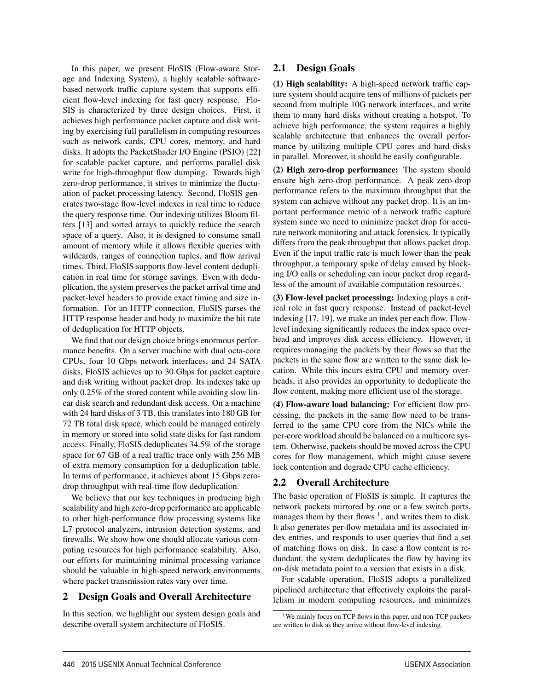In this paper, we present FloSIS (Flow-aware Storage and Indexing System), a highly scalable softwarebased network traffic capture system that supports efficient flow-level indexing for fast query response. Flo-SIS is characterized by three design choices. First, it achieves high performance packet capture and disk writing by exercising full parallelism in computing resources such as network cards, CPU cores, memory, and hard disks. It adopts the PacketShader I/O Engine (PSIO) [22] for scalable packet capture, and performs parallel disk write for high-throughput flow dumping. Towards high zero-drop performance, it strives to minimize the fluctuation of packet processing latency. Second, FloSIS generates two-stage flow-level indexes in real time to reduce the query response time. Our indexing utilizes Bloom filters [13] and sorted arrays to quickly reduce the search space of a query. Also, it is designed to consume small amount of memory while it allows flexible queries with wildcards, ranges of connection tuples, and flow arrival times. Third, FloSIS supports flow-level content deduplication in real time for storage savings. Even with deduplication, the system preserves the packet arrival time and packet-level headers to provide exact timing and size information. For an HTTP connection, FloSIS parses the HTTP response header and body to maximize the hit rate of deduplication for HTTP objects.

We find that our design choice brings enormous performance benefits. On a server machine with dual octa-core CPUs, four 10 Gbps network interfaces, and 24 SATA disks, FloSIS achieves up to 30 Gbps for packet capture and disk writing without packet drop. Its indexes take up only 0.25% of the stored content while avoiding slow linear disk search and redundant disk access. On a machine with 24 hard disks of 3 TB, this translates into 180 GB for 72 TB total disk space, which could be managed entirely in memory or stored into solid state disks for fast random access. Finally, FloSIS deduplicates 34.5% of the storage space for 67 GB of a real traffic trace only with 256 MB of extra memory consumption for a deduplication table. In terms of performance, it achieves about 15 Gbps zerodrop throughput with real-time flow deduplication.

We believe that our key techniques in producing high scalability and high zero-drop performance are applicable to other high-performance flow processing systems like L7 protocol analyzers, intrusion detection systems, and firewalls. We show how one should allocate various computing resources for high performance scalability. Also, our efforts for maintaining minimal processing variance should be valuable in high-speed network environments where packet transmission rates vary over time.

## 2 Design Goals and Overall Architecture

In this section, we highlight our system design goals and describe overall system architecture of FloSIS.

#### 2.1 Design Goals

(1) High scalability: A high-speed network traffic capture system should acquire tens of millions of packets per second from multiple 10G network interfaces, and write them to many hard disks without creating a hotspot. To achieve high performance, the system requires a highly scalable architecture that enhances the overall performance by utilizing multiple CPU cores and hard disks in parallel. Moreover, it should be easily configurable.

(2) High zero-drop performance: The system should ensure high zero-drop performance. A peak zero-drop performance refers to the maximum throughput that the system can achieve without any packet drop. It is an important performance metric of a network traffic capture system since we need to minimize packet drop for accurate network monitoring and attack forensics. It typically differs from the peak throughput that allows packet drop. Even if the input traffic rate is much lower than the peak throughput, a temporary spike of delay caused by blocking I/O calls or scheduling can incur packet drop regardless of the amount of available computation resources.

(3) Flow-level packet processing: Indexing plays a critical role in fast query response. Instead of packet-level indexing [17, 19], we make an index per each flow. Flowlevel indexing significantly reduces the index space overhead and improves disk access efficiency. However, it requires managing the packets by their flows so that the packets in the same flow are written to the same disk location. While this incurs extra CPU and memory overheads, it also provides an opportunity to deduplicate the flow content, making more efficient use of the storage.

(4) Flow-aware load balancing: For efficient flow processing, the packets in the same flow need to be transferred to the same CPU core from the NICs while the per-core workload should be balanced on a multicore system. Otherwise, packets should be moved across the CPU cores for flow management, which might cause severe lock contention and degrade CPU cache efficiency.

## 2.2 Overall Architecture

2

The basic operation of FloSIS is simple. It captures the network packets mirrored by one or a few switch ports, manages them by their flows  $\frac{1}{1}$ , and writes them to disk. It also generates per-flow metadata and its associated index entries, and responds to user queries that find a set of matching flows on disk. In case a flow content is redundant, the system deduplicates the flow by having its on-disk metadata point to a version that exists in a disk.

For scalable operation, FloSIS adopts a parallelized pipelined architecture that effectively exploits the parallelism in modern computing resources, and minimizes

<sup>&</sup>lt;sup>1</sup>We mainly focus on TCP flows in this paper, and non-TCP packets are written to disk as they arrive without flow-level indexing.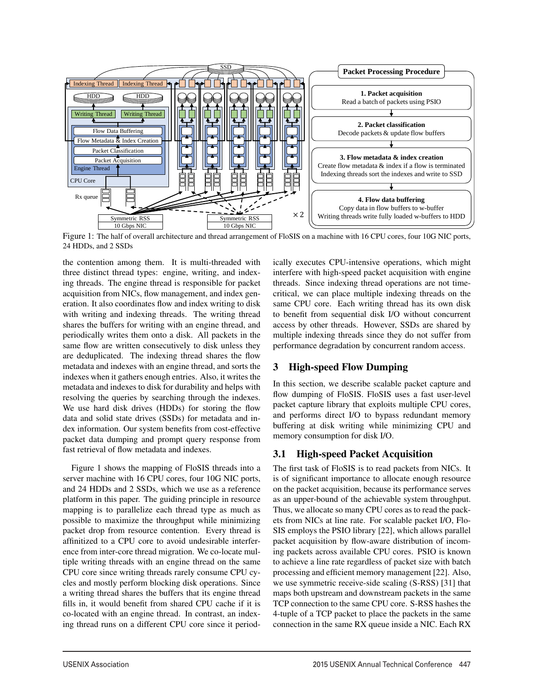

Figure 1: The half of overall architecture and thread arrangement of FloSIS on a machine with 16 CPU cores, four 10G NIC ports, 24 HDDs, and 2 SSDs

3

the contention among them. It is multi-threaded with three distinct thread types: engine, writing, and indexing threads. The engine thread is responsible for packet acquisition from NICs, flow management, and index generation. It also coordinates flow and index writing to disk with writing and indexing threads. The writing thread shares the buffers for writing with an engine thread, and periodically writes them onto a disk. All packets in the same flow are written consecutively to disk unless they are deduplicated. The indexing thread shares the flow metadata and indexes with an engine thread, and sorts the indexes when it gathers enough entries. Also, it writes the metadata and indexes to disk for durability and helps with resolving the queries by searching through the indexes. We use hard disk drives (HDDs) for storing the flow data and solid state drives (SSDs) for metadata and index information. Our system benefits from cost-effective packet data dumping and prompt query response from fast retrieval of flow metadata and indexes.

Figure 1 shows the mapping of FloSIS threads into a server machine with 16 CPU cores, four 10G NIC ports, and 24 HDDs and 2 SSDs, which we use as a reference platform in this paper. The guiding principle in resource mapping is to parallelize each thread type as much as possible to maximize the throughput while minimizing packet drop from resource contention. Every thread is affinitized to a CPU core to avoid undesirable interference from inter-core thread migration. We co-locate multiple writing threads with an engine thread on the same CPU core since writing threads rarely consume CPU cycles and mostly perform blocking disk operations. Since a writing thread shares the buffers that its engine thread fills in, it would benefit from shared CPU cache if it is co-located with an engine thread. In contrast, an indexing thread runs on a different CPU core since it periodically executes CPU-intensive operations, which might interfere with high-speed packet acquisition with engine threads. Since indexing thread operations are not timecritical, we can place multiple indexing threads on the same CPU core. Each writing thread has its own disk to benefit from sequential disk I/O without concurrent access by other threads. However, SSDs are shared by multiple indexing threads since they do not suffer from performance degradation by concurrent random access.

## 3 High-speed Flow Dumping

In this section, we describe scalable packet capture and flow dumping of FloSIS. FloSIS uses a fast user-level packet capture library that exploits multiple CPU cores, and performs direct I/O to bypass redundant memory buffering at disk writing while minimizing CPU and memory consumption for disk I/O.

## 3.1 High-speed Packet Acquisition

The first task of FloSIS is to read packets from NICs. It is of significant importance to allocate enough resource on the packet acquisition, because its performance serves as an upper-bound of the achievable system throughput. Thus, we allocate so many CPU cores as to read the packets from NICs at line rate. For scalable packet I/O, Flo-SIS employs the PSIO library [22], which allows parallel packet acquisition by flow-aware distribution of incoming packets across available CPU cores. PSIO is known to achieve a line rate regardless of packet size with batch processing and efficient memory management [22]. Also, we use symmetric receive-side scaling (S-RSS) [31] that maps both upstream and downstream packets in the same TCP connection to the same CPU core. S-RSS hashes the 4-tuple of a TCP packet to place the packets in the same connection in the same RX queue inside a NIC. Each RX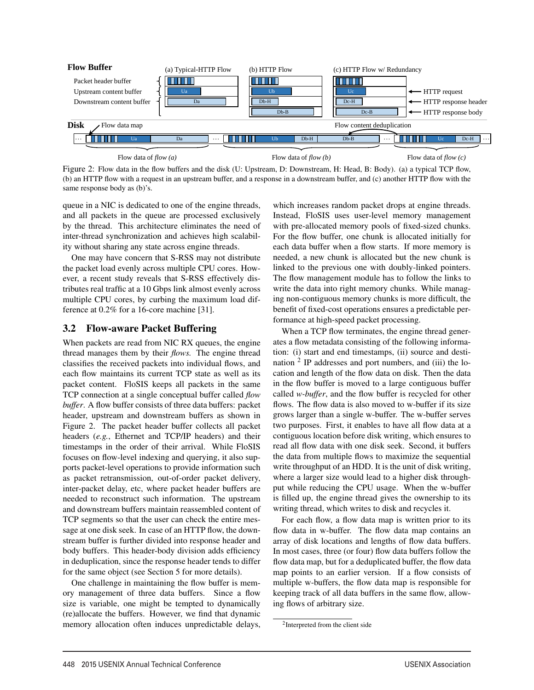

Figure 2: Flow data in the flow buffers and the disk (U: Upstream, D: Downstream, H: Head, B: Body). (a) a typical TCP flow, (b) an HTTP flow with a request in an upstream buffer, and a response in a downstream buffer, and (c) another HTTP flow with the same response body as (b)'s.

queue in a NIC is dedicated to one of the engine threads, and all packets in the queue are processed exclusively by the thread. This architecture eliminates the need of inter-thread synchronization and achieves high scalability without sharing any state across engine threads.

One may have concern that S-RSS may not distribute the packet load evenly across multiple CPU cores. However, a recent study reveals that S-RSS effectively distributes real traffic at a 10 Gbps link almost evenly across multiple CPU cores, by curbing the maximum load difference at 0.2% for a 16-core machine [31].

#### 3.2 Flow-aware Packet Buffering

When packets are read from NIC RX queues, the engine thread manages them by their *flows.* The engine thread classifies the received packets into individual flows, and each flow maintains its current TCP state as well as its packet content. FloSIS keeps all packets in the same TCP connection at a single conceptual buffer called *flow buffer*. A flow buffer consists of three data buffers: packet header, upstream and downstream buffers as shown in Figure 2. The packet header buffer collects all packet headers (*e.g.*, Ethernet and TCP/IP headers) and their timestamps in the order of their arrival. While FloSIS focuses on flow-level indexing and querying, it also supports packet-level operations to provide information such as packet retransmission, out-of-order packet delivery, inter-packet delay, etc, where packet header buffers are needed to reconstruct such information. The upstream and downstream buffers maintain reassembled content of TCP segments so that the user can check the entire message at one disk seek. In case of an HTTP flow, the downstream buffer is further divided into response header and body buffers. This header-body division adds efficiency in deduplication, since the response header tends to differ for the same object (see Section 5 for more details).

One challenge in maintaining the flow buffer is memory management of three data buffers. Since a flow size is variable, one might be tempted to dynamically (re)allocate the buffers. However, we find that dynamic memory allocation often induces unpredictable delays, which increases random packet drops at engine threads. Instead, FloSIS uses user-level memory management with pre-allocated memory pools of fixed-sized chunks. For the flow buffer, one chunk is allocated initially for each data buffer when a flow starts. If more memory is needed, a new chunk is allocated but the new chunk is linked to the previous one with doubly-linked pointers. The flow management module has to follow the links to write the data into right memory chunks. While managing non-contiguous memory chunks is more difficult, the benefit of fixed-cost operations ensures a predictable performance at high-speed packet processing.

When a TCP flow terminates, the engine thread generates a flow metadata consisting of the following information: (i) start and end timestamps, (ii) source and destination  $2$  IP addresses and port numbers, and (iii) the location and length of the flow data on disk. Then the data in the flow buffer is moved to a large contiguous buffer called *w-buffer*, and the flow buffer is recycled for other flows. The flow data is also moved to w-buffer if its size grows larger than a single w-buffer. The w-buffer serves two purposes. First, it enables to have all flow data at a contiguous location before disk writing, which ensures to read all flow data with one disk seek. Second, it buffers the data from multiple flows to maximize the sequential write throughput of an HDD. It is the unit of disk writing, where a larger size would lead to a higher disk throughput while reducing the CPU usage. When the w-buffer is filled up, the engine thread gives the ownership to its writing thread, which writes to disk and recycles it.

For each flow, a flow data map is written prior to its flow data in w-buffer. The flow data map contains an array of disk locations and lengths of flow data buffers. In most cases, three (or four) flow data buffers follow the flow data map, but for a deduplicated buffer, the flow data map points to an earlier version. If a flow consists of multiple w-buffers, the flow data map is responsible for keeping track of all data buffers in the same flow, allowing flows of arbitrary size.

4

<sup>2</sup>Interpreted from the client side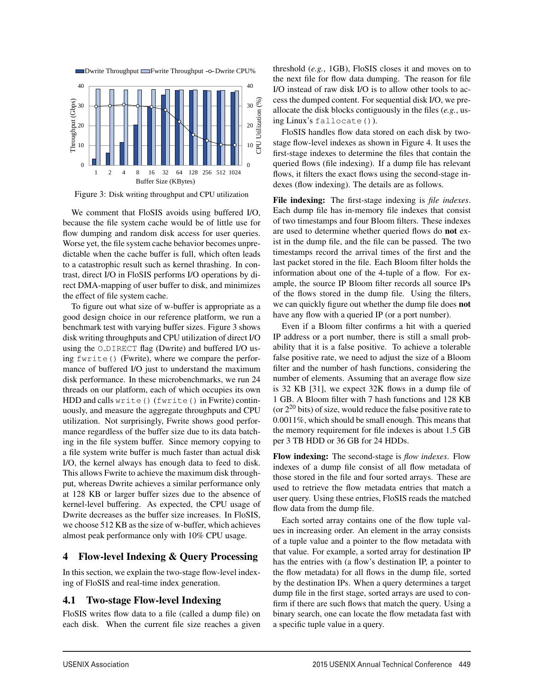

Figure 3: Disk writing throughput and CPU utilization

We comment that FloSIS avoids using buffered I/O, because the file system cache would be of little use for flow dumping and random disk access for user queries. Worse yet, the file system cache behavior becomes unpredictable when the cache buffer is full, which often leads to a catastrophic result such as kernel thrashing. In contrast, direct I/O in FloSIS performs I/O operations by direct DMA-mapping of user buffer to disk, and minimizes the effect of file system cache.

To figure out what size of w-buffer is appropriate as a good design choice in our reference platform, we run a benchmark test with varying buffer sizes. Figure 3 shows disk writing throughputs and CPU utilization of direct I/O using the O\_DIRECT flag (Dwrite) and buffered I/O using fwrite() (Fwrite), where we compare the performance of buffered I/O just to understand the maximum disk performance. In these microbenchmarks, we run 24 threads on our platform, each of which occupies its own HDD and calls write() (fwrite() in Fwrite) continuously, and measure the aggregate throughputs and CPU utilization. Not surprisingly, Fwrite shows good performance regardless of the buffer size due to its data batching in the file system buffer. Since memory copying to a file system write buffer is much faster than actual disk I/O, the kernel always has enough data to feed to disk. This allows Fwrite to achieve the maximum disk throughput, whereas Dwrite achieves a similar performance only at 128 KB or larger buffer sizes due to the absence of kernel-level buffering. As expected, the CPU usage of Dwrite decreases as the buffer size increases. In FloSIS, we choose 512 KB as the size of w-buffer, which achieves almost peak performance only with 10% CPU usage.

#### 4 Flow-level Indexing & Query Processing

In this section, we explain the two-stage flow-level indexing of FloSIS and real-time index generation.

#### 4.1 Two-stage Flow-level Indexing

FloSIS writes flow data to a file (called a dump file) on each disk. When the current file size reaches a given

5

threshold (*e.g.*, 1GB), FloSIS closes it and moves on to the next file for flow data dumping. The reason for file I/O instead of raw disk I/O is to allow other tools to access the dumped content. For sequential disk I/O, we preallocate the disk blocks contiguously in the files (*e.g.*, using Linux's fallocate()).

FloSIS handles flow data stored on each disk by twostage flow-level indexes as shown in Figure 4. It uses the first-stage indexes to determine the files that contain the queried flows (file indexing). If a dump file has relevant flows, it filters the exact flows using the second-stage indexes (flow indexing). The details are as follows.

File indexing: The first-stage indexing is *file indexes*. Each dump file has in-memory file indexes that consist of two timestamps and four Bloom filters. These indexes are used to determine whether queried flows do not exist in the dump file, and the file can be passed. The two timestamps record the arrival times of the first and the last packet stored in the file. Each Bloom filter holds the information about one of the 4-tuple of a flow. For example, the source IP Bloom filter records all source IPs of the flows stored in the dump file. Using the filters, we can quickly figure out whether the dump file does not have any flow with a queried IP (or a port number).

Even if a Bloom filter confirms a hit with a queried IP address or a port number, there is still a small probability that it is a false positive. To achieve a tolerable false positive rate, we need to adjust the size of a Bloom filter and the number of hash functions, considering the number of elements. Assuming that an average flow size is 32 KB [31], we expect 32K flows in a dump file of 1 GB. A Bloom filter with 7 hash functions and 128 KB (or  $2^{20}$  bits) of size, would reduce the false positive rate to 0.0011%, which should be small enough. This means that the memory requirement for file indexes is about 1.5 GB per 3 TB HDD or 36 GB for 24 HDDs.

Flow indexing: The second-stage is *flow indexes*. Flow indexes of a dump file consist of all flow metadata of those stored in the file and four sorted arrays. These are used to retrieve the flow metadata entries that match a user query. Using these entries, FloSIS reads the matched flow data from the dump file.

Each sorted array contains one of the flow tuple values in increasing order. An element in the array consists of a tuple value and a pointer to the flow metadata with that value. For example, a sorted array for destination IP has the entries with (a flow's destination IP, a pointer to the flow metadata) for all flows in the dump file, sorted by the destination IPs. When a query determines a target dump file in the first stage, sorted arrays are used to confirm if there are such flows that match the query. Using a binary search, one can locate the flow metadata fast with a specific tuple value in a query.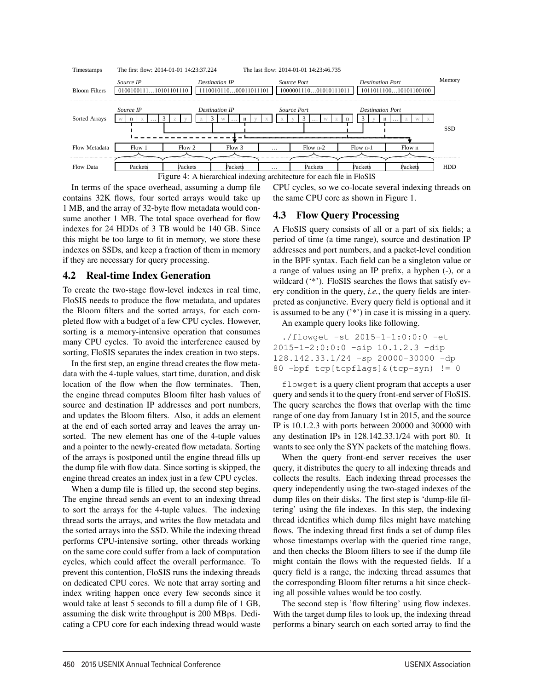

6

In terms of the space overhead, assuming a dump file contains 32K flows, four sorted arrays would take up 1 MB, and the array of 32-byte flow metadata would consume another 1 MB. The total space overhead for flow indexes for 24 HDDs of 3 TB would be 140 GB. Since this might be too large to fit in memory, we store these indexes on SSDs, and keep a fraction of them in memory if they are necessary for query processing.

#### 4.2 Real-time Index Generation

To create the two-stage flow-level indexes in real time, FloSIS needs to produce the flow metadata, and updates the Bloom filters and the sorted arrays, for each completed flow with a budget of a few CPU cycles. However, sorting is a memory-intensive operation that consumes many CPU cycles. To avoid the interference caused by sorting, FloSIS separates the index creation in two steps.

In the first step, an engine thread creates the flow metadata with the 4-tuple values, start time, duration, and disk location of the flow when the flow terminates. Then, the engine thread computes Bloom filter hash values of source and destination IP addresses and port numbers, and updates the Bloom filters. Also, it adds an element at the end of each sorted array and leaves the array unsorted. The new element has one of the 4-tuple values and a pointer to the newly-created flow metadata. Sorting of the arrays is postponed until the engine thread fills up the dump file with flow data. Since sorting is skipped, the engine thread creates an index just in a few CPU cycles.

When a dump file is filled up, the second step begins. The engine thread sends an event to an indexing thread to sort the arrays for the 4-tuple values. The indexing thread sorts the arrays, and writes the flow metadata and the sorted arrays into the SSD. While the indexing thread performs CPU-intensive sorting, other threads working on the same core could suffer from a lack of computation cycles, which could affect the overall performance. To prevent this contention, FloSIS runs the indexing threads on dedicated CPU cores. We note that array sorting and index writing happen once every few seconds since it would take at least 5 seconds to fill a dump file of 1 GB, assuming the disk write throughput is 200 MBps. Dedicating a CPU core for each indexing thread would waste

CPU cycles, so we co-locate several indexing threads on the same CPU core as shown in Figure 1.

#### 4.3 Flow Query Processing

A FloSIS query consists of all or a part of six fields; a period of time (a time range), source and destination IP addresses and port numbers, and a packet-level condition in the BPF syntax. Each field can be a singleton value or a range of values using an IP prefix, a hyphen (-), or a wildcard (\*\*'). FloSIS searches the flows that satisfy every condition in the query, *i.e.*, the query fields are interpreted as conjunctive. Every query field is optional and it is assumed to be any ('\*') in case it is missing in a query.

An example query looks like following.

```
./flowget -st 2015-1-1:0:0:0 -et
2015-1-2:0:0:0 -sip 10.1.2.3 -dip
128.142.33.1/24 -sp 20000-30000 -dp
80 -bpf tcp[tcpflags]&(tcp-syn) != 0
```
flowget is a query client program that accepts a user query and sends it to the query front-end server of FloSIS. The query searches the flows that overlap with the time range of one day from January 1st in 2015, and the source IP is 10.1.2.3 with ports between 20000 and 30000 with any destination IPs in 128.142.33.1/24 with port 80. It wants to see only the SYN packets of the matching flows.

When the query front-end server receives the user query, it distributes the query to all indexing threads and collects the results. Each indexing thread processes the query independently using the two-staged indexes of the dump files on their disks. The first step is 'dump-file filtering' using the file indexes. In this step, the indexing thread identifies which dump files might have matching flows. The indexing thread first finds a set of dump files whose timestamps overlap with the queried time range, and then checks the Bloom filters to see if the dump file might contain the flows with the requested fields. If a query field is a range, the indexing thread assumes that the corresponding Bloom filter returns a hit since checking all possible values would be too costly.

The second step is 'flow filtering' using flow indexes. With the target dump files to look up, the indexing thread performs a binary search on each sorted array to find the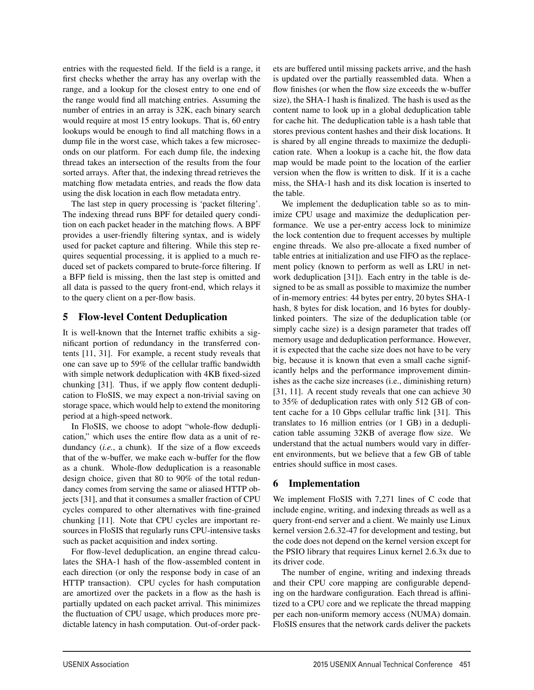entries with the requested field. If the field is a range, it first checks whether the array has any overlap with the range, and a lookup for the closest entry to one end of the range would find all matching entries. Assuming the number of entries in an array is 32K, each binary search would require at most 15 entry lookups. That is, 60 entry lookups would be enough to find all matching flows in a dump file in the worst case, which takes a few microseconds on our platform. For each dump file, the indexing thread takes an intersection of the results from the four sorted arrays. After that, the indexing thread retrieves the matching flow metadata entries, and reads the flow data using the disk location in each flow metadata entry.

The last step in query processing is 'packet filtering'. The indexing thread runs BPF for detailed query condition on each packet header in the matching flows. A BPF provides a user-friendly filtering syntax, and is widely used for packet capture and filtering. While this step requires sequential processing, it is applied to a much reduced set of packets compared to brute-force filtering. If a BFP field is missing, then the last step is omitted and all data is passed to the query front-end, which relays it to the query client on a per-flow basis.

#### 5 Flow-level Content Deduplication

It is well-known that the Internet traffic exhibits a significant portion of redundancy in the transferred contents [11, 31]. For example, a recent study reveals that one can save up to 59% of the cellular traffic bandwidth with simple network deduplication with 4KB fixed-sized chunking [31]. Thus, if we apply flow content deduplication to FloSIS, we may expect a non-trivial saving on storage space, which would help to extend the monitoring period at a high-speed network.

In FloSIS, we choose to adopt "whole-flow deduplication," which uses the entire flow data as a unit of redundancy *(i.e., a chunk)*. If the size of a flow exceeds that of the w-buffer, we make each w-buffer for the flow as a chunk. Whole-flow deduplication is a reasonable design choice, given that 80 to 90% of the total redundancy comes from serving the same or aliased HTTP objects [31], and that it consumes a smaller fraction of CPU cycles compared to other alternatives with fine-grained chunking [11]. Note that CPU cycles are important resources in FloSIS that regularly runs CPU-intensive tasks such as packet acquisition and index sorting.

For flow-level deduplication, an engine thread calculates the SHA-1 hash of the flow-assembled content in each direction (or only the response body in case of an HTTP transaction). CPU cycles for hash computation are amortized over the packets in a flow as the hash is partially updated on each packet arrival. This minimizes the fluctuation of CPU usage, which produces more predictable latency in hash computation. Out-of-order packets are buffered until missing packets arrive, and the hash is updated over the partially reassembled data. When a flow finishes (or when the flow size exceeds the w-buffer size), the SHA-1 hash is finalized. The hash is used as the content name to look up in a global deduplication table for cache hit. The deduplication table is a hash table that stores previous content hashes and their disk locations. It is shared by all engine threads to maximize the deduplication rate. When a lookup is a cache hit, the flow data map would be made point to the location of the earlier version when the flow is written to disk. If it is a cache miss, the SHA-1 hash and its disk location is inserted to the table.

We implement the deduplication table so as to minimize CPU usage and maximize the deduplication performance. We use a per-entry access lock to minimize the lock contention due to frequent accesses by multiple engine threads. We also pre-allocate a fixed number of table entries at initialization and use FIFO as the replacement policy (known to perform as well as LRU in network deduplication [31]). Each entry in the table is designed to be as small as possible to maximize the number of in-memory entries: 44 bytes per entry, 20 bytes SHA-1 hash, 8 bytes for disk location, and 16 bytes for doublylinked pointers. The size of the deduplication table (or simply cache size) is a design parameter that trades off memory usage and deduplication performance. However, it is expected that the cache size does not have to be very big, because it is known that even a small cache significantly helps and the performance improvement diminishes as the cache size increases (i.e., diminishing return) [31, 11]. A recent study reveals that one can achieve 30 to 35% of deduplication rates with only 512 GB of content cache for a 10 Gbps cellular traffic link [31]. This translates to 16 million entries (or 1 GB) in a deduplication table assuming 32KB of average flow size. We understand that the actual numbers would vary in different environments, but we believe that a few GB of table entries should suffice in most cases.

## 6 Implementation

7

We implement FloSIS with 7,271 lines of C code that include engine, writing, and indexing threads as well as a query front-end server and a client. We mainly use Linux kernel version 2.6.32-47 for development and testing, but the code does not depend on the kernel version except for the PSIO library that requires Linux kernel 2.6.3x due to its driver code.

The number of engine, writing and indexing threads and their CPU core mapping are configurable depending on the hardware configuration. Each thread is affinitized to a CPU core and we replicate the thread mapping per each non-uniform memory access (NUMA) domain. FloSIS ensures that the network cards deliver the packets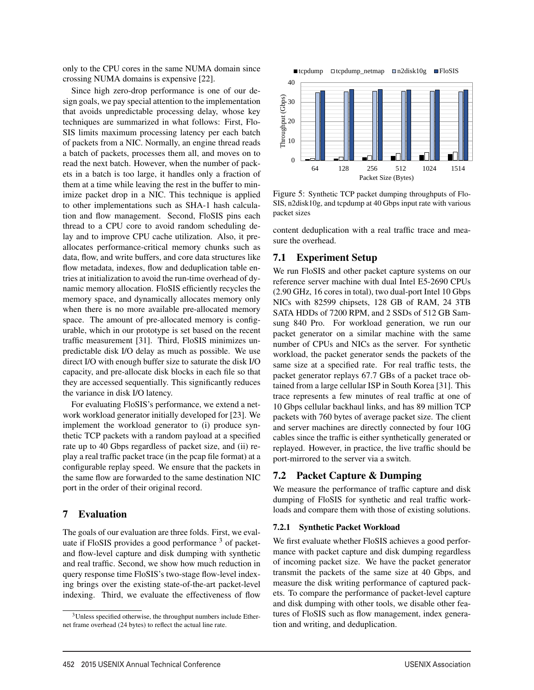only to the CPU cores in the same NUMA domain since crossing NUMA domains is expensive [22].

Since high zero-drop performance is one of our design goals, we pay special attention to the implementation that avoids unpredictable processing delay, whose key techniques are summarized in what follows: First, Flo-SIS limits maximum processing latency per each batch of packets from a NIC. Normally, an engine thread reads a batch of packets, processes them all, and moves on to read the next batch. However, when the number of packets in a batch is too large, it handles only a fraction of them at a time while leaving the rest in the buffer to minimize packet drop in a NIC. This technique is applied to other implementations such as SHA-1 hash calculation and flow management. Second, FloSIS pins each thread to a CPU core to avoid random scheduling delay and to improve CPU cache utilization. Also, it preallocates performance-critical memory chunks such as data, flow, and write buffers, and core data structures like flow metadata, indexes, flow and deduplication table entries at initialization to avoid the run-time overhead of dynamic memory allocation. FloSIS efficiently recycles the memory space, and dynamically allocates memory only when there is no more available pre-allocated memory space. The amount of pre-allocated memory is configurable, which in our prototype is set based on the recent traffic measurement [31]. Third, FloSIS minimizes unpredictable disk I/O delay as much as possible. We use direct I/O with enough buffer size to saturate the disk I/O capacity, and pre-allocate disk blocks in each file so that they are accessed sequentially. This significantly reduces the variance in disk I/O latency.

For evaluating FloSIS's performance, we extend a network workload generator initially developed for [23]. We implement the workload generator to (i) produce synthetic TCP packets with a random payload at a specified rate up to 40 Gbps regardless of packet size, and (ii) replay a real traffic packet trace (in the pcap file format) at a configurable replay speed. We ensure that the packets in the same flow are forwarded to the same destination NIC port in the order of their original record.

#### 7 Evaluation

The goals of our evaluation are three folds. First, we evaluate if FloSIS provides a good performance  $3$  of packetand flow-level capture and disk dumping with synthetic and real traffic. Second, we show how much reduction in query response time FloSIS's two-stage flow-level indexing brings over the existing state-of-the-art packet-level indexing. Third, we evaluate the effectiveness of flow



Figure 5: Synthetic TCP packet dumping throughputs of Flo-SIS, n2disk10g, and tcpdump at 40 Gbps input rate with various packet sizes

content deduplication with a real traffic trace and measure the overhead.

#### 7.1 Experiment Setup

We run FloSIS and other packet capture systems on our reference server machine with dual Intel E5-2690 CPUs (2.90 GHz, 16 cores in total), two dual-port Intel 10 Gbps NICs with 82599 chipsets, 128 GB of RAM, 24 3TB SATA HDDs of 7200 RPM, and 2 SSDs of 512 GB Samsung 840 Pro. For workload generation, we run our packet generator on a similar machine with the same number of CPUs and NICs as the server. For synthetic workload, the packet generator sends the packets of the same size at a specified rate. For real traffic tests, the packet generator replays 67.7 GBs of a packet trace obtained from a large cellular ISP in South Korea [31]. This trace represents a few minutes of real traffic at one of 10 Gbps cellular backhaul links, and has 89 million TCP packets with 760 bytes of average packet size. The client and server machines are directly connected by four 10G cables since the traffic is either synthetically generated or replayed. However, in practice, the live traffic should be port-mirrored to the server via a switch.

#### 7.2 Packet Capture & Dumping

We measure the performance of traffic capture and disk dumping of FloSIS for synthetic and real traffic workloads and compare them with those of existing solutions.

#### 7.2.1 Synthetic Packet Workload

8

We first evaluate whether FloSIS achieves a good performance with packet capture and disk dumping regardless of incoming packet size. We have the packet generator transmit the packets of the same size at 40 Gbps, and measure the disk writing performance of captured packets. To compare the performance of packet-level capture and disk dumping with other tools, we disable other features of FloSIS such as flow management, index generation and writing, and deduplication.

<sup>&</sup>lt;sup>3</sup>Unless specified otherwise, the throughput numbers include Ethernet frame overhead (24 bytes) to reflect the actual line rate.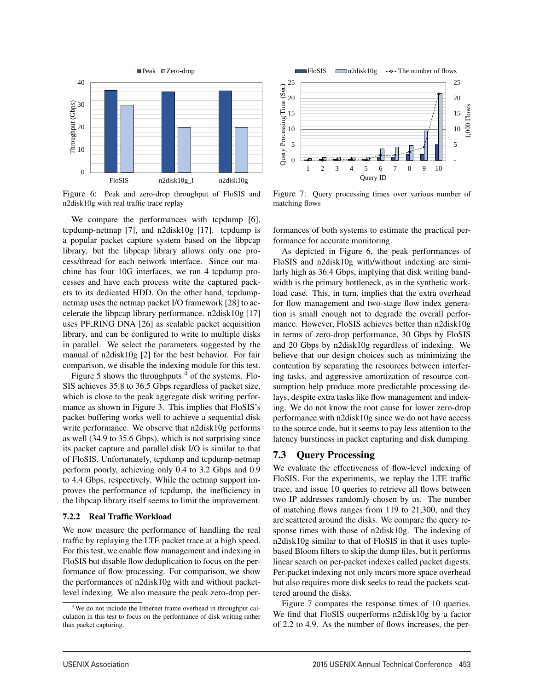

Figure 6: Peak and zero-drop throughput of FloSIS and n2disk10g with real traffic trace replay

We compare the performances with tcpdump [6], tcpdump-netmap  $[7]$ , and n2disk10g  $[17]$ . tcpdump is a popular packet capture system based on the libpcap library, but the libpcap library allows only one process/thread for each network interface. Since our machine has four 10G interfaces, we run 4 tcpdump processes and have each process write the captured packets to its dedicated HDD. On the other hand, tcpdumpnetmap uses the netmap packet I/O framework [28] to accelerate the libpcap library performance. n2disk10g [17] uses PF RING DNA [26] as scalable packet acquisition library, and can be configured to write to multiple disks in parallel. We select the parameters suggested by the manual of n2disk10g [2] for the best behavior. For fair comparison, we disable the indexing module for this test.

Figure 5 shows the throughputs  $4$  of the systems. Flo-SIS achieves 35.8 to 36.5 Gbps regardless of packet size, which is close to the peak aggregate disk writing performance as shown in Figure 3. This implies that FloSIS's packet buffering works well to achieve a sequential disk write performance. We observe that n2disk10g performs as well (34.9 to 35.6 Gbps), which is not surprising since its packet capture and parallel disk I/O is similar to that of FloSIS. Unfortunately, tcpdump and tcpdump-netmap perform poorly, achieving only 0.4 to 3.2 Gbps and 0.9 to 4.4 Gbps, respectively. While the netmap support improves the performance of tcpdump, the inefficiency in the libpcap library itself seems to limit the improvement.

#### 7.2.2 Real Traffic Workload

We now measure the performance of handling the real traffic by replaying the LTE packet trace at a high speed. For this test, we enable flow management and indexing in FloSIS but disable flow deduplication to focus on the performance of flow processing. For comparison, we show the performances of n2disk10g with and without packetlevel indexing. We also measure the peak zero-drop per-



Figure 7: Query processing times over various number of matching flows

formances of both systems to estimate the practical performance for accurate monitoring.

As depicted in Figure 6, the peak performances of FloSIS and n2disk10g with/without indexing are similarly high as 36.4 Gbps, implying that disk writing bandwidth is the primary bottleneck, as in the synthetic workload case. This, in turn, implies that the extra overhead for flow management and two-stage flow index generation is small enough not to degrade the overall performance. However, FloSIS achieves better than n2disk10g in terms of zero-drop performance, 30 Gbps by FloSIS and 20 Gbps by n2disk10g regardless of indexing. We believe that our design choices such as minimizing the contention by separating the resources between interfering tasks, and aggressive amortization of resource consumption help produce more predictable processing delays, despite extra tasks like flow management and indexing. We do not know the root cause for lower zero-drop performance with n2disk10g since we do not have access to the source code, but it seems to pay less attention to the latency burstiness in packet capturing and disk dumping.

#### 7.3 Query Processing

9

We evaluate the effectiveness of flow-level indexing of FloSIS. For the experiments, we replay the LTE traffic trace, and issue 10 queries to retrieve all flows between two IP addresses randomly chosen by us. The number of matching flows ranges from 119 to 21,300, and they are scattered around the disks. We compare the query response times with those of n2disk10g. The indexing of n2disk10g similar to that of FloSIS in that it uses tuplebased Bloom filters to skip the dump files, but it performs linear search on per-packet indexes called packet digests. Per-packet indexing not only incurs more space overhead but also requires more disk seeks to read the packets scattered around the disks.

Figure 7 compares the response times of 10 queries. We find that FloSIS outperforms n2disk10g by a factor of 2.2 to 4.9. As the number of flows increases, the per-

<sup>4</sup>We do not include the Ethernet frame overhead in throughput calculation in this test to focus on the performance of disk writing rather than packet capturing.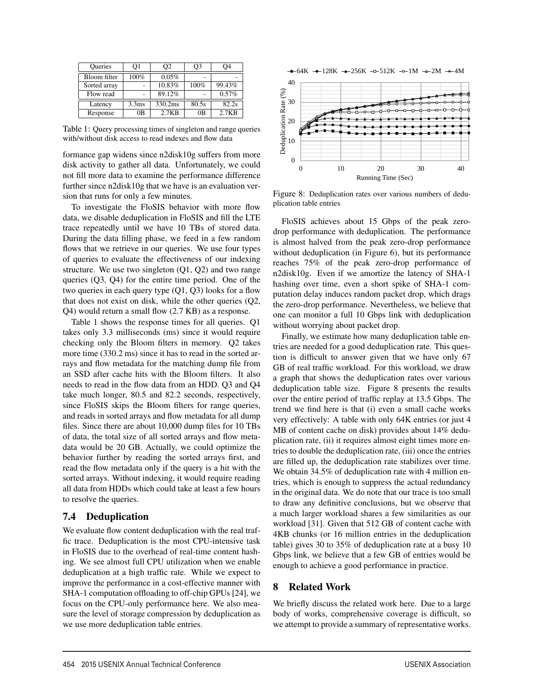| <b>Oueries</b> | O1                | O2      | O3             | 94     |
|----------------|-------------------|---------|----------------|--------|
| Bloom filter   | 100%              | 0.05%   | ٠              |        |
| Sorted array   |                   | 10.83%  | 100%           | 99.43% |
| Flow read      |                   | 89.12%  |                | 0.57%  |
| Latency        | 3.3 <sub>ms</sub> | 330.2ms | 80.5s          | 82.2s  |
| Response       | 0B                | 2.7KB   | 0 <sub>B</sub> | 2.7KB  |

Table 1: Query processing times of singleton and range queries with/without disk access to read indexes and flow data

formance gap widens since n2disk10g suffers from more disk activity to gather all data. Unfortunately, we could not fill more data to examine the performance difference further since n2disk10g that we have is an evaluation version that runs for only a few minutes.

To investigate the FloSIS behavior with more flow data, we disable deduplication in FloSIS and fill the LTE trace repeatedly until we have 10 TBs of stored data. During the data filling phase, we feed in a few random flows that we retrieve in our queries. We use four types of queries to evaluate the effectiveness of our indexing structure. We use two singleton (Q1, Q2) and two range queries (Q3, Q4) for the entire time period. One of the two queries in each query type  $(Q1, Q3)$  looks for a flow that does not exist on disk, while the other queries (Q2, Q4) would return a small flow (2.7 KB) as a response.

Table 1 shows the response times for all queries. Q1 takes only 3.3 milliseconds (ms) since it would require checking only the Bloom filters in memory. Q2 takes more time (330.2 ms) since it has to read in the sorted arrays and flow metadata for the matching dump file from an SSD after cache hits with the Bloom filters. It also needs to read in the flow data from an HDD. Q3 and Q4 take much longer, 80.5 and 82.2 seconds, respectively, since FloSIS skips the Bloom filters for range queries, and reads in sorted arrays and flow metadata for all dump files. Since there are about 10,000 dump files for 10 TBs of data, the total size of all sorted arrays and flow metadata would be 20 GB. Actually, we could optimize the behavior further by reading the sorted arrays first, and read the flow metadata only if the query is a hit with the sorted arrays. Without indexing, it would require reading all data from HDDs which could take at least a few hours to resolve the queries.

#### 7.4 Deduplication

We evaluate flow content deduplication with the real traffic trace. Deduplication is the most CPU-intensive task in FloSIS due to the overhead of real-time content hashing. We see almost full CPU utilization when we enable deduplication at a high traffic rate. While we expect to improve the performance in a cost-effective manner with SHA-1 computation offloading to off-chip GPUs [24], we focus on the CPU-only performance here. We also measure the level of storage compression by deduplication as we use more deduplication table entries.



Figure 8: Deduplication rates over various numbers of deduplication table entries

FloSIS achieves about 15 Gbps of the peak zerodrop performance with deduplication. The performance is almost halved from the peak zero-drop performance without deduplication (in Figure 6), but its performance reaches 75% of the peak zero-drop performance of n2disk10g. Even if we amortize the latency of SHA-1 hashing over time, even a short spike of SHA-1 computation delay induces random packet drop, which drags the zero-drop performance. Nevertheless, we believe that one can monitor a full 10 Gbps link with deduplication without worrying about packet drop.

Finally, we estimate how many deduplication table entries are needed for a good deduplication rate. This question is difficult to answer given that we have only 67 GB of real traffic workload. For this workload, we draw a graph that shows the deduplication rates over various deduplication table size. Figure 8 presents the results over the entire period of traffic replay at 13.5 Gbps. The trend we find here is that (i) even a small cache works very effectively: A table with only 64K entries (or just 4 MB of content cache on disk) provides about 14% deduplication rate, (ii) it requires almost eight times more entries to double the deduplication rate, (iii) once the entries are filled up, the deduplication rate stabilizes over time. We obtain 34.5% of deduplication rate with 4 million entries, which is enough to suppress the actual redundancy in the original data. We do note that our trace is too small to draw any definitive conclusions, but we observe that a much larger workload shares a few similarities as our workload [31]. Given that 512 GB of content cache with 4KB chunks (or 16 million entries in the deduplication table) gives 30 to 35% of deduplication rate at a busy 10 Gbps link, we believe that a few GB of entries would be enough to achieve a good performance in practice.

#### 8 Related Work

10

We briefly discuss the related work here. Due to a large body of works, comprehensive coverage is difficult, so we attempt to provide a summary of representative works.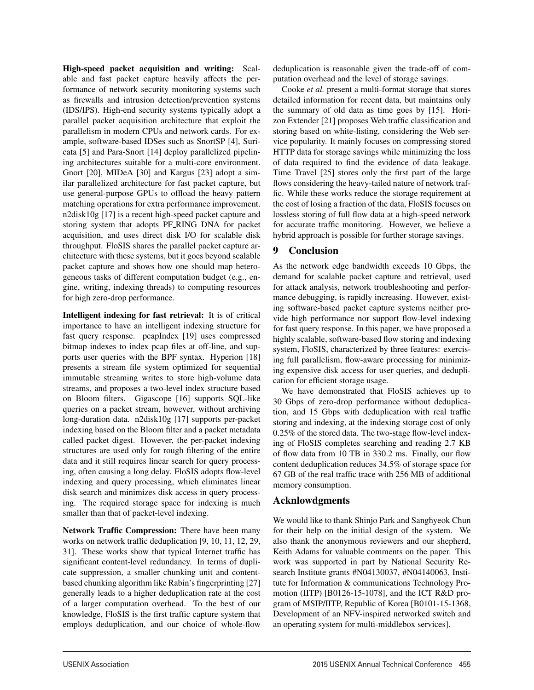High-speed packet acquisition and writing: Scalable and fast packet capture heavily affects the performance of network security monitoring systems such as firewalls and intrusion detection/prevention systems (IDS/IPS). High-end security systems typically adopt a parallel packet acquisition architecture that exploit the parallelism in modern CPUs and network cards. For example, software-based IDSes such as SnortSP [4], Suricata [5] and Para-Snort [14] deploy parallelized pipelining architectures suitable for a multi-core environment. Gnort [20], MIDeA [30] and Kargus [23] adopt a similar parallelized architecture for fast packet capture, but use general-purpose GPUs to offload the heavy pattern matching operations for extra performance improvement. n2disk10g [17] is a recent high-speed packet capture and storing system that adopts PF RING DNA for packet acquisition, and uses direct disk I/O for scalable disk throughput. FloSIS shares the parallel packet capture architecture with these systems, but it goes beyond scalable packet capture and shows how one should map heterogeneous tasks of different computation budget (e.g., engine, writing, indexing threads) to computing resources for high zero-drop performance.

Intelligent indexing for fast retrieval: It is of critical importance to have an intelligent indexing structure for fast query response. pcapIndex [19] uses compressed bitmap indexes to index pcap files at off-line, and supports user queries with the BPF syntax. Hyperion [18] presents a stream file system optimized for sequential immutable streaming writes to store high-volume data streams, and proposes a two-level index structure based on Bloom filters. Gigascope [16] supports SQL-like queries on a packet stream, however, without archiving long-duration data. n2disk10g [17] supports per-packet indexing based on the Bloom filter and a packet metadata called packet digest. However, the per-packet indexing structures are used only for rough filtering of the entire data and it still requires linear search for query processing, often causing a long delay. FloSIS adopts flow-level indexing and query processing, which eliminates linear disk search and minimizes disk access in query processing. The required storage space for indexing is much smaller than that of packet-level indexing.

Network Traffic Compression: There have been many works on network traffic deduplication [9, 10, 11, 12, 29, 31]. These works show that typical Internet traffic has significant content-level redundancy. In terms of duplicate suppression, a smaller chunking unit and contentbased chunking algorithm like Rabin's fingerprinting [27] generally leads to a higher deduplication rate at the cost of a larger computation overhead. To the best of our knowledge, FloSIS is the first traffic capture system that employs deduplication, and our choice of whole-flow

deduplication is reasonable given the trade-off of computation overhead and the level of storage savings.

Cooke *et al.* present a multi-format storage that stores detailed information for recent data, but maintains only the summary of old data as time goes by [15]. Horizon Extender [21] proposes Web traffic classification and storing based on white-listing, considering the Web service popularity. It mainly focuses on compressing stored HTTP data for storage savings while minimizing the loss of data required to find the evidence of data leakage. Time Travel [25] stores only the first part of the large flows considering the heavy-tailed nature of network traffic. While these works reduce the storage requirement at the cost of losing a fraction of the data, FloSIS focuses on lossless storing of full flow data at a high-speed network for accurate traffic monitoring. However, we believe a hybrid approach is possible for further storage savings.

## 9 Conclusion

As the network edge bandwidth exceeds 10 Gbps, the demand for scalable packet capture and retrieval, used for attack analysis, network troubleshooting and performance debugging, is rapidly increasing. However, existing software-based packet capture systems neither provide high performance nor support flow-level indexing for fast query response. In this paper, we have proposed a highly scalable, software-based flow storing and indexing system, FloSIS, characterized by three features: exercising full parallelism, flow-aware processing for minimizing expensive disk access for user queries, and deduplication for efficient storage usage.

We have demonstrated that FloSIS achieves up to 30 Gbps of zero-drop performance without deduplication, and 15 Gbps with deduplication with real traffic storing and indexing, at the indexing storage cost of only 0.25% of the stored data. The two-stage flow-level indexing of FloSIS completes searching and reading 2.7 KB of flow data from 10 TB in 330.2 ms. Finally, our flow content deduplication reduces 34.5% of storage space for 67 GB of the real traffic trace with 256 MB of additional memory consumption.

## Acknlowdgments

11

We would like to thank Shinjo Park and Sanghyeok Chun for their help on the initial design of the system. We also thank the anonymous reviewers and our shepherd, Keith Adams for valuable comments on the paper. This work was supported in part by National Security Research Institute grants #N04130037, #N04140063, Institute for Information & communications Technology Promotion (IITP) [B0126-15-1078], and the ICT R&D program of MSIP/IITP, Republic of Korea [B0101-15-1368, Development of an NFV-inspired networked switch and an operating system for multi-middlebox services].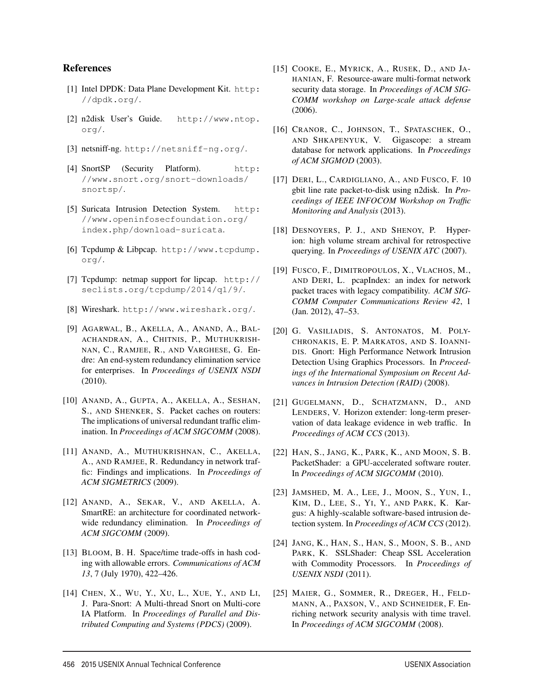#### References

- [1] Intel DPDK: Data Plane Development Kit. http: //dpdk.org/.
- [2] n2disk User's Guide. http://www.ntop. org/.
- [3] netsniff-ng. http://netsniff-ng.org/.
- [4] SnortSP (Security Platform). http: //www.snort.org/snort-downloads/ snortsp/.
- [5] Suricata Intrusion Detection System. http: //www.openinfosecfoundation.org/ index.php/download-suricata.
- [6] Tcpdump & Libpcap. http://www.tcpdump. org/.
- [7] Tcpdump: netmap support for lipcap. http:// seclists.org/tcpdump/2014/q1/9/.
- [8] Wireshark. http://www.wireshark.org/.
- [9] AGARWAL, B., AKELLA, A., ANAND, A., BAL-ACHANDRAN, A., CHITNIS, P., MUTHUKRISH-NAN, C., RAMJEE, R., AND VARGHESE, G. Endre: An end-system redundancy elimination service for enterprises. In *Proceedings of USENIX NSDI* (2010).
- [10] ANAND, A., GUPTA, A., AKELLA, A., SESHAN, S., AND SHENKER, S. Packet caches on routers: The implications of universal redundant traffic elimination. In *Proceedings of ACM SIGCOMM* (2008).
- [11] ANAND, A., MUTHUKRISHNAN, C., AKELLA, A., AND RAMJEE, R. Redundancy in network traffic: Findings and implications. In *Proceedings of ACM SIGMETRICS* (2009).
- [12] ANAND, A., SEKAR, V., AND AKELLA, A. SmartRE: an architecture for coordinated networkwide redundancy elimination. In *Proceedings of ACM SIGCOMM* (2009).
- [13] BLOOM, B. H. Space/time trade-offs in hash coding with allowable errors. *Communications of ACM 13*, 7 (July 1970), 422–426.
- [14] CHEN, X., WU, Y., XU, L., XUE, Y., AND LI, J. Para-Snort: A Multi-thread Snort on Multi-core IA Platform. In *Proceedings of Parallel and Distributed Computing and Systems (PDCS)* (2009).

12

- [15] COOKE, E., MYRICK, A., RUSEK, D., AND JA-HANIAN, F. Resource-aware multi-format network security data storage. In *Proceedings of ACM SIG-COMM workshop on Large-scale attack defense* (2006).
- [16] CRANOR, C., JOHNSON, T., SPATASCHEK, O., AND SHKAPENYUK, V. Gigascope: a stream database for network applications. In *Proceedings of ACM SIGMOD* (2003).
- [17] DERI, L., CARDIGLIANO, A., AND FUSCO, F. 10 gbit line rate packet-to-disk using n2disk. In *Proceedings of IEEE INFOCOM Workshop on Traffic Monitoring and Analysis* (2013).
- [18] DESNOYERS, P. J., AND SHENOY, P. Hyperion: high volume stream archival for retrospective querying. In *Proceedings of USENIX ATC* (2007).
- [19] FUSCO, F., DIMITROPOULOS, X., VLACHOS, M., AND DERI, L. pcapIndex: an index for network packet traces with legacy compatibility. *ACM SIG-COMM Computer Communications Review 42*, 1 (Jan. 2012), 47–53.
- [20] G. VASILIADIS, S. ANTONATOS, M. POLY-CHRONAKIS, E. P. MARKATOS, AND S. IOANNI-DIS. Gnort: High Performance Network Intrusion Detection Using Graphics Processors. In *Proceedings of the International Symposium on Recent Advances in Intrusion Detection (RAID)* (2008).
- [21] GUGELMANN, D., SCHATZMANN, D., AND LENDERS, V. Horizon extender: long-term preservation of data leakage evidence in web traffic. In *Proceedings of ACM CCS* (2013).
- [22] HAN, S., JANG, K., PARK, K., AND MOON, S. B. PacketShader: a GPU-accelerated software router. In *Proceedings of ACM SIGCOMM* (2010).
- [23] JAMSHED, M. A., LEE, J., MOON, S., YUN, I., KIM, D., LEE, S., YI, Y., AND PARK, K. Kargus: A highly-scalable software-based intrusion detection system. In *Proceedings of ACM CCS* (2012).
- [24] JANG, K., HAN, S., HAN, S., MOON, S. B., AND PARK, K. SSLShader: Cheap SSL Acceleration with Commodity Processors. In *Proceedings of USENIX NSDI* (2011).
- [25] MAIER, G., SOMMER, R., DREGER, H., FELD-MANN, A., PAXSON, V., AND SCHNEIDER, F. Enriching network security analysis with time travel. In *Proceedings of ACM SIGCOMM* (2008).